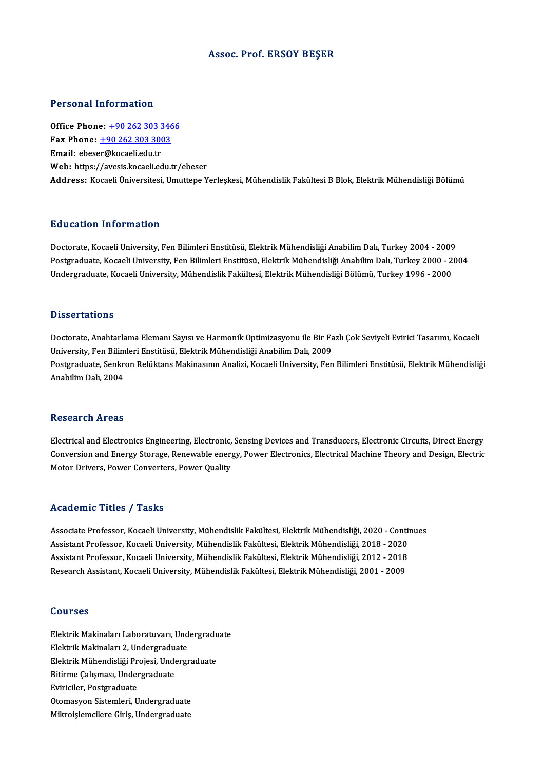### Assoc. Prof. ERSOY BEŞER

### Personal Information

**Personal Information<br>Office Phone: +90 262 303 3466<br>Fax Phone: +90 262 202 2002** 1 01001141 11101 11141011<br>
0ffice Phone: <u>+90 262 303 346</u><br>
Fax Phone: <u>+90 262 303 3003</u><br>
Fmail: cheser@kesseliedu.tr Office Phone: <u>+90 262 303 3</u><br>Fax Phone: <u>+90 262 303 300</u><br>Email: ebes[er@kocaeli.edu.tr](tel:+90 262 303 3003) Fax Phone:  $\pm$ 90 262 303 3003<br>Email: ebeser@kocaeli.edu.tr<br>Web: https://avesis.kocaeli.edu.tr/ebeser Address: Kocaeli Üniversitesi, Umuttepe Yerleşkesi, Mühendislik Fakültesi B Blok, Elektrik Mühendisliği Bölümü

## Education Information

<mark>Education Information</mark><br>Doctorate, Kocaeli University, Fen Bilimleri Enstitüsü, Elektrik Mühendisliği Anabilim Dalı, Turkey 2004 - 2009<br>Postsraduata Kosaeli University, Fen Bilimleri Enstitüsü, Elektrik Mühendisliği Anabil Postgraduate, Kocaeli University, Fen Bilimleri Enstitüsü, Elektrik Mühendisliği Anabilim Dalı, Turkey 2000 - 2004<br>Undergraduate, Kocaeli University, Mühendislik Fakültesi, Elektrik Mühendisliği Bölümü, Turkey 1996 - 2000 Doctorate, Kocaeli University, Fen Bilimleri Enstitüsü, Elektrik Mühendisliği Anabilim Dalı, Turkey 2004 - 2009<br>Postgraduate, Kocaeli University, Fen Bilimleri Enstitüsü, Elektrik Mühendisliği Anabilim Dalı, Turkey 2000 -

### **Dissertations**

Dissertations<br>Doctorate, Anahtarlama Elemanı Sayısı ve Harmonik Optimizasyonu ile Bir Fazlı Çok Seviyeli Evirici Tasarımı, Kocaeli<br>University, Fan Bilimleri Enstitüsü, Elektrik Mühandisliği Anabilim Delı, 2000 D'isser tariems<br>Doctorate, Anahtarlama Elemanı Sayısı ve Harmonik Optimizasyonu ile Bir Fa<br>University, Fen Bilimleri Enstitüsü, Elektrik Mühendisliği Anabilim Dalı, 2009<br>Postanaduata Sanlman Bolültana Maltinasının Analizi, Postgraduate, Senkron Relüktans Makinasının Analizi, Kocaeli University, Fen Bilimleri Enstitüsü, Elektrik Mühendisliği<br>Anabilim Dalı. 2004 University, Fen Bilimleri Enstitüsü, Elektrik Mühendisliği Anabilim Dalı, 2009

### Research Areas

Electrical and Electronics Engineering, Electronic, Sensing Devices and Transducers, Electronic Circuits, Direct Energy resear on III oas<br>Electrical and Electronics Engineering, Electronic, Sensing Devices and Transducers, Electronic Circuits, Direct Energy<br>Conversion and Energy Storage, Renewable energy, Power Electronics, Electrical Machi Electrical and Electronics Engineering, Electronic,<br>Conversion and Energy Storage, Renewable ener<sub>l</sub><br>Motor Drivers, Power Converters, Power Quality Motor Drivers, Power Converters, Power Quality<br>
Academic Titles / Tasks

Associate Professor, Kocaeli University, Mühendislik Fakültesi, Elektrik Mühendisliği, 2020 - Continues Associate Professor, Kocaeli University, Mühendislik Fakültesi, Elektrik Mühendisliği, 2020 - Conti<br>Assistant Professor, Kocaeli University, Mühendislik Fakültesi, Elektrik Mühendisliği, 2018 - 2020<br>Assistant Professor, Ko Associate Professor, Kocaeli University, Mühendislik Fakültesi, Elektrik Mühendisliği, 2020 - Conti<br>Assistant Professor, Kocaeli University, Mühendislik Fakültesi, Elektrik Mühendisliği, 2018 - 2020<br>Assistant Professor, Ko Assistant Professor, Kocaeli University, Mühendislik Fakültesi, Elektrik Mühendisliği, 2018 - 2020<br>Assistant Professor, Kocaeli University, Mühendislik Fakültesi, Elektrik Mühendisliği, 2012 - 2018<br>Research Assistant, Koca Research Assistant, Kocaeli University, Mühendislik Fakültesi, Elektrik Mühendisliği, 2001 - 2009<br>Courses

Courses<br>Elektrik Makinaları Laboratuvarı, Undergraduate<br>Flektrik Makinaları 2. Undergraduate UUUTUU<br>Elektrik Makinaları Laboratuvarı, Und<br>Elektrik Makinaları 2, Undergraduate<br>Elektrik Mühandialiği Projeci, Undergr Elektrik Makinaları Laboratuvarı, Undergradu<br>Elektrik Makinaları 2, Undergraduate<br>Elektrik Mühendisliği Projesi, Undergraduate<br>Bitirme Colisması, Undergraduate Elektrik Makinaları 2, Undergraduate<br>Elektrik Mühendisliği Projesi, Underg<br>Bitirme Çalışması, Undergraduate<br>Eviriciler. Postgraduate Elektrik Mühendisliği Projesi, Undergraduate Otomasyon Sistemleri, Undergraduate Mikroişlemcilere Giriş, Undergraduate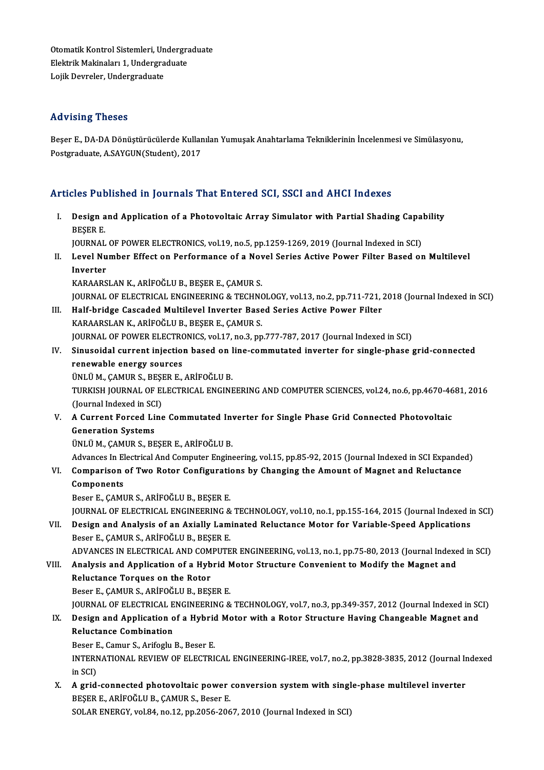Otomatik Kontrol Sistemleri, Undergraduate<br>Elektrik Makinalaru 1. Undergraduate Otomatik Kontrol Sistemleri, Undergra<br>Elektrik Makinaları 1, Undergraduate<br>Leijk Deureler, Undergraduate Otomatik Kontrol Sistemleri, Un<br>Elektrik Makinaları 1, Undergra<br>Lojik Devreler, Undergraduate Lojik Devreler, Undergraduate<br>**Advising Theses** 

**Advising Theses**<br>Beşer E., DA-DA Dönüştürücülerde Kullanılan Yumuşak Anahtarlama Tekniklerinin İncelenmesi ve Simülasyonu,<br>Pestsraduata A SAYCUN(Student), 2017 rra vionny<br>Beşer E., DA-DA Dönüştürücülerde Kullar<br>Postgraduate, A.SAYGUN(Student), 2017

# Postgraduate, A.SAYGUN(Student), 2017<br>Articles Published in Journals That Entered SCI, SSCI and AHCI Indexes

rticles Published in Journals That Entered SCI, SSCI and AHCI Indexes<br>I. Design and Application of a Photovoltaic Array Simulator with Partial Shading Capability<br>RESER E Design a<br>Beşer e.<br>Beşer e. Design and Application of a Photovoltaic Array Simulator with Partial Shading Capa<sup>7</sup><br>BEŞER E.<br>JOURNAL OF POWER ELECTRONICS, vol.19, no.5, pp.1259-1269, 2019 (Journal Indexed in SCI)<br>Lavel Number Effect on Performance of a BEŞER E.<br>JOURNAL OF POWER ELECTRONICS, vol.19, no.5, pp.1259-1269, 2019 (Journal Indexed in SCI)<br>II. Level Number Effect on Performance of a Novel Series Active Power Filter Based on Multilevel<br>Inverter JOURNAL OF POWER ELECTRONICS, vol.19, no.5, pp.1259-1269, 2019 (Journal Indexed in SCI) KARAARSLANK.,ARİFOĞLUB.,BEŞERE.,ÇAMURS. Inverter<br>KARAARSLAN K., ARİFOĞLU B., BEŞER E., ÇAMUR S.<br>JOURNAL OF ELECTRICAL ENGINEERING & TECHNOLOGY, vol.13, no.2, pp.711-721, 2018 (Journal Indexed in SCI)<br>Half bridge Cassaded Multilevel Inverter Based Series Astive B KARAARSLAN K., ARİFOĞLU B., BEŞER E., ÇAMUR S.<br>JOURNAL OF ELECTRICAL ENGINEERING & TECHNOLOGY, vol.13, no.2, pp.711-721, <br>III. Half-bridge Cascaded Multilevel Inverter Based Series Active Power Filter<br>KARAARSLAN K. ARİFOĞL JOURNAL OF ELECTRICAL ENGINEERING & TECHNO<br>Half-bridge Cascaded Multilevel Inverter Base<br>KARAARSLAN K., ARİFOĞLU B., BEŞER E., ÇAMUR S.<br>JOUPNAL OF POWER ELECTRONICS vol 17 no 2 nn III. Half-bridge Cascaded Multilevel Inverter Based Series Active Power Filter<br>KARAARSLAN K., ARİFOĞLU B., BEŞER E., ÇAMUR S.<br>JOURNAL OF POWER ELECTRONICS, vol.17, no.3, pp.777-787, 2017 (Journal Indexed in SCI) KARAARSLAN K., ARİFOĞLU B., BEŞER E., ÇAMUR S.<br>JOURNAL OF POWER ELECTRONICS, vol.17, no.3, pp.777-787, 2017 (Journal Indexed in SCI)<br>IV. Sinusoidal current injection based on line-commutated inverter for single-phase g **JOURNAL OF POWER ELECTRO**<br>Sinusoidal current injection<br>renewable energy sources<br><sup>TINI IJ M. CAMUP S. RESER E</sup> Sinusoidal current injection based on l<br>renewable energy sources<br>ÜNLÜ M., ÇAMUR S., BEŞER E., ARİFOĞLU B.<br>TURKISH JOURNAL OF ELECTRICAL ENCINE renewable energy sources<br>ÜNLÜ M., ÇAMUR S., BEŞER E., ARİFOĞLU B.<br>TURKISH JOURNAL OF ELECTRICAL ENGINEERING AND COMPUTER SCIENCES, vol.24, no.6, pp.4670-4681, 2016<br>(Jaurnal Indoved in SCL) UNLU M., ÇAMUR S., BEŞI<br>TURKISH JOURNAL OF EI<br>(Journal Indexed in SCI)<br>A Current Fersed Line V. A Current Forced Line Commutated Inverter for Single Phase Grid Connected Photovoltaic (Journal Indexed in SCI) ÜNLÜM.,ÇAMURS.,BEŞERE.,ARİFOĞLUB. Advances In Electrical And Computer Engineering, vol.15, pp.85-92, 2015 (Journal Indexed in SCI Expanded) UNLU M., ÇAMUR S., BEŞER E., ARIFOĞLU B.<br>Advances In Electrical And Computer Engineering, vol.15, pp.85-92, 2015 (Journal Indexed in SCI Expande<br>VI. Comparison of Two Rotor Configurations by Changing the Amount of Magnet a Advances In El<br>Comparison<br>Components<br>Besen E. CAMI Comparison of Two Rotor Configuration<br>Components<br>Beser E., ÇAMUR S., ARİFOĞLU B., BEŞER E.<br>JOUPMAL OF ELECTRICAL ENCINEERING & Components<br>Beser E., ÇAMUR S., ARİFOĞLU B., BEŞER E.<br>JOURNAL OF ELECTRICAL ENGINEERING & TECHNOLOGY, vol.10, no.1, pp.155-164, 2015 (Journal Indexed in SCI) Beser E., ÇAMUR S., ARİFOĞLU B., BEŞER E.<br>JOURNAL OF ELECTRICAL ENGINEERING & TECHNOLOGY, vol.10, no.1, pp.155-164, 2015 (Journal Indexed is<br>VII. Design and Analysis of an Axially Laminated Reluctance Motor for Variable-Sp **JOURNAL OF ELECTRICAL ENGINEERING &<br>Design and Analysis of an Axially Lam<br>Beser E., ÇAMUR S., ARİFOĞLU B., BEŞER E.**<br>ADVANCES IN ELECTRICAL AND COMBUTE Design and Analysis of an Axially Laminated Reluctance Motor for Variable-Speed Applications<br>Beser E., ÇAMUR S., ARİFOĞLU B., BEŞER E.<br>ADVANCES IN ELECTRICAL AND COMPUTER ENGINEERING, vol.13, no.1, pp.75-80, 2013 (Journal Beser E., ÇAMUR S., ARİFOĞLU B., BEŞER E.<br>ADVANCES IN ELECTRICAL AND COMPUTER ENGINEERING, vol.13, no.1, pp.75-80, 2013 (Journal Indexe<br>VIII. Analysis and Application of a Hybrid Motor Structure Convenient to Modify th ADVANCES IN ELECTRICAL AND COM<br>Analysis and Application of a Hyb<br>Reluctance Torques on the Rotor<br>Peser E. CAMUR S. ARIFOČLU R. RES Analysis and Application of a Hybrid N<br>Reluctance Torques on the Rotor<br>Beser E., ÇAMUR S., ARİFOĞLU B., BEŞER E.<br>JOUPMAL OF ELECTRICAL ENCINEERING & Reluctance Torques on the Rotor<br>Beser E., ÇAMUR S., ARİFOĞLU B., BEŞER E.<br>JOURNAL OF ELECTRICAL ENGINEERING & TECHNOLOGY, vol.7, no.3, pp.349-357, 2012 (Journal Indexed in SCI)<br>Design and Annlisation of a Hybrid Motor with Beser E., ÇAMUR S., ARİFOĞLU B., BEŞER E.<br>IQURNAL OF ELECTRICAL ENGINEERING & TECHNOLOGY, vol.7, no.3, pp.349-357, 2012 (Journal Indexed in SC<br>IX. Design and Application of a Hybrid Motor with a Rotor Structure Having **JOURNAL OF ELECTRICAL E**<br>Design and Application of<br>Reluctance Combination<br>Peser E. Camur S. Arifoslu. **Design and Application of a Hybric<br>Reluctance Combination<br>Beser E., Camur S., Arifoglu B., Beser E.<br>INTERNATIONAL BEVIEW OF ELECTRI** Reluctance Combination<br>Beser E., Camur S., Arifoglu B., Beser E.<br>INTERNATIONAL REVIEW OF ELECTRICAL ENGINEERING-IREE, vol.7, no.2, pp.3828-3835, 2012 (Journal Indexed<br>in SCI) Beser E<br>INTERN<br>in SCI)<br>A grid INTERNATIONAL REVIEW OF ELECTRICAL ENGINEERING-IREE, vol.7, no.2, pp.3828-3835, 2012 (Journal In<br>in SCI)<br>X. A grid-connected photovoltaic power conversion system with single-phase multilevel inverter<br>RESER E ARIEQČLU P. CA in SCI)<br>A grid-connected photovoltaic power<br>BEŞER E., ARİFOĞLU B., ÇAMUR S., Beser E.<br>SOLAR ENERCY vol 84 no 12 nn 2056 206 A grid-connected photovoltaic power conversion system with singl<br>BEŞER E., ARİFOĞLU B., ÇAMUR S., Beser E.<br>SOLAR ENERGY, vol.84, no.12, pp.2056-2067, 2010 (Journal Indexed in SCI)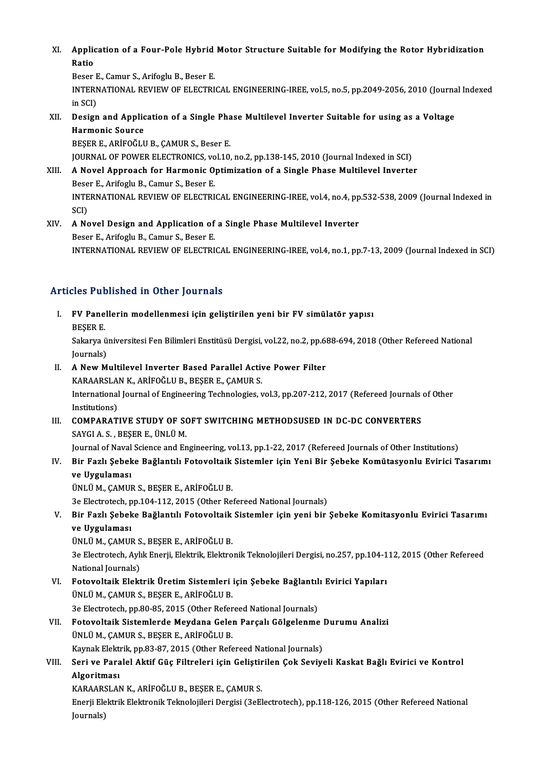XI. Application of a Four-Pole Hybrid Motor Structure Suitable for Modifying the Rotor Hybridization<br>Ratio Applic<br>Ratio<br><sup>Roson</sup> Application of a Four-Pole Hybrid<br>Ratio<br>Beser E., Camur S., Arifoglu B., Beser E.<br>INTERNATIONAL REVIEW OF ELECTRI

Ratio<br>Beser E., Camur S., Arifoglu B., Beser E.<br>INTERNATIONAL REVIEW OF ELECTRICAL ENGINEERING-IREE, vol.5, no.5, pp.2049-2056, 2010 (Journal Indexed<br>in SCD Beser E<br>INTERN<br>in SCI)<br>Design INTERNATIONAL REVIEW OF ELECTRICAL ENGINEERING-IREE, vol.5, no.5, pp.2049-2056, 2010 (Journa<br>in SCI)<br>XII. Design and Application of a Single Phase Multilevel Inverter Suitable for using as a Voltage<br>Harmonic Source

in SCI)<br>Design and Applic<br>Harmonic Source<br>PESER E ARIEOČII **Design and Application of a Single Pha<br>Harmonic Source<br>BEŞER E., ARİFOĞLU B., ÇAMUR S., Beser E.<br>JOUPMAL OF POWER ELECTRONICS, vel 10.** Harmonic Source<br>BEŞER E., ARİFOĞLU B., ÇAMUR S., Beser E.<br>JOURNAL OF POWER ELECTRONICS, vol.10, no.2, pp.138-145, 2010 (Journal Indexed in SCI)<br>A Novel Annreash for Harmonic Ontimisation of a Single Phase Multilevel Invert

BEŞER E., ARİFOĞLU B., ÇAMUR S., Beser E.<br>JOURNAL OF POWER ELECTRONICS, vol.10, no.2, pp.138-145, 2010 (Journal Indexed in SCI)<br>XIII. A Novel Approach for Harmonic Optimization of a Single Phase Multilevel Inverter

- **JOURNAL OF POWER ELECTRONICS, vo<br>A Novel Approach for Harmonic O<br>Beser E., Arifoglu B., Camur S., Beser E.<br>INTERNATIONAL REVIEW OF ELECTRI** INTERNATIONAL REVIEW OF ELECTRICAL ENGINEERING-IREE, vol.4, no.4, pp.532-538, 2009 (Journal Indexed in<br>SCI) Beser E., Arifoglu B., Camur S., Beser E. INTERNATIONAL REVIEW OF ELECTRICAL ENGINEERING-IREE, vol.4, no.4, pp<br>SCI)<br>XIV. A Novel Design and Application of a Single Phase Multilevel Inverter
- SCI)<br>A Novel Design and Application of<br>Beser E., Arifoglu B., Camur S., Beser E.<br>INTERNATIONAL REVIEW OF ELECTRI Beser E., Arifoglu B., Camur S., Beser E.<br>INTERNATIONAL REVIEW OF ELECTRICAL ENGINEERING-IREE, vol.4, no.1, pp.7-13, 2009 (Journal Indexed in SCI)

## Articles Published in Other Journals

- rticles Published in Other Journals<br>I. FV Panellerin modellenmesi için geliştirilen yeni bir FV simülatör yapısı<br>RESER F FU Pane<br>BEŞER E.<br>Sakarya i FV Panellerin modellenmesi için geliştirilen yeni bir FV simülatör yapısı<br>BEŞER E.<br>Sakarya üniversitesi Fen Bilimleri Enstitüsü Dergisi, vol.22, no.2, pp.688-694, 2018 (Other Refereed National<br>Journals) BEŞER E.<br>Sakarya ü<br>Journals)<br>A Now M Sakarya üniversitesi Fen Bilimleri Enstitüsü Dergisi, vol.22, no.2, pp.6<br>Journals)<br>II. A New Multilevel Inverter Based Parallel Active Power Filter<br>KARAARSLANK, ARİFOĞLU P, PESER E, CAMIR S
- Journals)<br>II. A New Multilevel Inverter Based Parallel Active Power Filter<br>KARAARSLAN K., ARİFOĞLU B., BEŞER E., ÇAMUR S. A New Multilevel Inverter Based Parallel Active Power Filter<br>KARAARSLAN K., ARİFOĞLU B., BEŞER E., ÇAMUR S.<br>International Journal of Engineering Technologies, vol.3, pp.207-212, 2017 (Refereed Journals of Other<br>Institution KARAARSLA<br>International<br>Institutions)<br>COMBARAT International Journal of Engineering Technologies, vol.3, pp.207-212, 2017 (Refereed Journals<br>Institutions)<br>III. COMPARATIVE STUDY OF SOFT SWITCHING METHODSUSED IN DC-DC CONVERTERS<br>SAVCLA S. PESER F. UNLUM
- Institutions)<br>III. COMPARATIVE STUDY OF SOFT SWITCHING METHODSUSED IN DC-DC CONVERTERS<br>SAYGI A.S., BESER E., ÜNLÜM. COMPARATIVE STUDY OF SOFT SWITCHING METHODSUSED IN DC-DC CONVERTERS<br>SAYGI A.S., BEŞER E., ÜNLÜ M.<br>Journal of Naval Science and Engineering, vol.13, pp.1-22, 2017 (Refereed Journals of Other Institutions)<br>Bir Earl: Sabaka B

# IV. Bir Fazlı Şebeke Bağlantılı Fotovoltaik Sistemler için Yeni Bir Şebeke Komütasyonlu Evirici Tasarımı Journal of Naval<br>Bir Fazlı Şebek<br>ve Uygulaması<br>ÜNUÜ M. CAMU

ÜNLÜM.,ÇAMURS.,BEŞERE.,ARİFOĞLUB.

3e Electrotech, pp.104-112, 2015 (Other Refereed National Journals)

ÜNLÜ M., ÇAMUR S., BEŞER E., ARİFOĞLU B.<br>3e Electrotech, pp.104-112, 2015 (Other Refereed National Journals)<br>V. Bir Fazlı Şebeke Bağlantılı Fotovoltaik Sistemler için yeni bir Şebeke Komitasyonlu Evirici Tasarımı<br>V. 3e Electrotech, p<br>Bir Fazlı Şebek<br>ve Uygulaması<br>ÜNUÜ M. CAMII Bir Fazlı Şebeke Bağlantılı Fotovoltaik<br>ve Uygulaması<br>ÜNLÜ M., ÇAMUR S., BEŞER E., ARİFOĞLU B.<br>20 Electrotech Aylık Enerii, Flektrik, Flektro

ve Uygulaması<br>ÜNLÜ M., ÇAMUR S., BEŞER E., ARİFOĞLU B.<br>3e Electrotech, Aylık Enerji, Elektrik, Elektronik Teknolojileri Dergisi, no.257, pp.104-112, 2015 (Other Refereed<br>National Journals) ÜNLÜ M., ÇAMUR S<br>3e Electrotech, Aylı<br>National Journals)<br>Feteveltaik Elekt 3e Electrotech, Aylık Enerji, Elektrik, Elektronik Teknolojileri Dergisi, no.257, pp.104-1<br>National Journals)<br>VI. Fotovoltaik Elektrik Üretim Sistemleri için Şebeke Bağlantılı Evirici Yapıları<br>İNI Ü.M. CAMIID S. PESER E. A

- National Journals)<br>Fotovoltaik Elektrik Üretim Sistemleri<br>ÜNLÜ M., ÇAMUR S., BEŞER E., ARİFOĞLU B.<br>20 Electrotech nn 80 85-2015 (Other Befer Fotovoltaik Elektrik Üretim Sistemleri için Şebeke Bağlantıl<br>ÜNLÜ M., ÇAMUR S., BEŞER E., ARİFOĞLU B.<br>3e Electrotech, pp.80-85, 2015 (Other Refereed National Journals)<br>Fetewaltaik Sistemlanda Maydana Calan Barsalı Cölgelan
- ÜNLÜ M., ÇAMUR S., BEŞER E., ARİFOĞLU B.<br>3e Electrotech, pp.80-85, 2015 (Other Refereed National Journals)<br>VII. Fotovoltaik Sistemlerde Meydana Gelen Parçalı Gölgelenme Durumu Analizi 3e Electrotech, pp.80-85, 2015 (Other Refereed National Journals)<br>Fotovoltaik Sistemlerde Meydana Gelen Parçalı Gölgelenme<br>ÜNLÜ M., ÇAMUR S., BEŞER E., ARİFOĞLU B.<br>Kaynak Elektrik, pp.83-87, 2015 (Other Refereed National J Fotovoltaik Sistemlerde Meydana Gelen Parçalı Gölgelenme<br>ÜNLÜ M., ÇAMUR S., BEŞER E., ARİFOĞLU B.<br>Kaynak Elektrik, pp.83-87, 2015 (Other Refereed National Journals)<br>Seri ve Paralal Aktif Güe Eiltreleri isin Gelistirilen Ge ÜNLÜ M., ÇAMUR S., BEŞER E., ARİFOĞLU B.<br>Kaynak Elektrik, pp.83-87, 2015 (Other Refereed National Journals)<br>VIII. Seri ve Paralel Aktif Güç Filtreleri için Geliştirilen Çok Seviyeli Kaskat Bağlı Evirici ve Kontrol
- Kaynak Elekti<br>Seri ve Para<br>Algoritması<br>KARAARSLAN Seri ve Paralel Aktif Güç Filtreleri için Geliştir<br>Algoritması<br>KARAARSLAN K., ARİFOĞLU B., BEŞER E., ÇAMUR S.<br>Enerii Elektrik Elektronik Telmolejileri Dergisi (20El

Algoritması<br>KARAARSLAN K., ARİFOĞLU B., BEŞER E., ÇAMUR S.<br>Enerji Elektrik Elektronik Teknolojileri Dergisi (3eElectrotech), pp.118-126, 2015 (Other Refereed National<br>Journals) KARAARSLAN K., ARİFOĞLU B., BESER E., CAMUR S.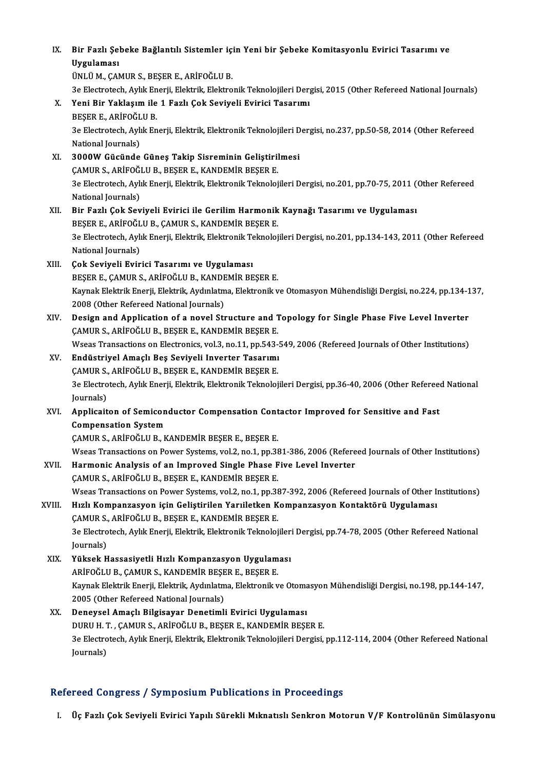# IX. Bir Fazlı Şebeke Bağlantılı Sistemler için Yeni bir Şebeke Komitasyonlu Evirici Tasarımı ve Bir Fazlı Şel<br>Uygulaması<br>ÜNUÜM GAL Bir Fazlı Şebeke Bağlantılı Sistemler iç:<br>Uygulaması<br>ÜNLÜ M., ÇAMUR S., BEŞER E., ARİFOĞLU B.<br>20 Electrotech Aylık Enerii, Elektrik, Elektro

Uygulaması<br>ÜNLÜ M., ÇAMUR S., BEŞER E., ARİFOĞLU B.<br>3e Electrotech, Aylık Enerji, Elektrik, Elektronik Teknolojileri Dergisi, 2015 (Other Refereed National Journals)<br>Yoni Bir Yaklasım ile 1 Eszlı Cek Seviveli Evirisi Tessa ÜNLÜ M., ÇAMUR S., BEŞER E., ARİFOĞLU B.<br>3e Electrotech, Aylık Enerji, Elektrik, Elektronik Teknolojileri Derg<br>X. Yeni Bir Yaklaşım ile 1 Fazlı Çok Seviyeli Evirici Tasarımı<br>BEŞER E., ARİFOĞLU B. 3e Electrotech, Aylık En<br>Yeni Bir Yaklaşım ile<br>BEŞER E., ARİFOĞLU B.<br><sup>2</sup>e Electrotech, Aylık En Yeni Bir Yaklaşım ile 1 Fazlı Çok Seviyeli Evirici Tasarımı<br>BEŞER E., ARİFOĞLU B.<br>3e Electrotech, Aylık Enerji, Elektrik, Elektronik Teknolojileri Dergisi, no.237, pp.50-58, 2014 (Other Refereed<br>National Journale) BEŞER E., ARİFOĞL<br>3e Electrotech, Aylı<br>National Journals)<br>2000W Güsünde XI. 3000WGücünde Güneş Takip Sisreminin Geliştirilmesi National Journals)<br>3000W Gücünde Güneş Takip Sisreminin Geliştiril<br>ÇAMUR S., ARİFOĞLU B., BEŞER E., KANDEMİR BEŞER E.<br><sup>2</sup>0 Electrotech Avlik Enerji, Flektrik, Flektronik Telmelei 3e Electrotech, Aylık Enerji, Elektrik, Elektronik Teknolojileri Dergisi, no.201, pp.70-75, 2011 (Other Refereed<br>National Journals) CAMUR S., ARİFOĞI<br>3e Electrotech, Aylı<br>National Journals)<br>Pir Forlı Cok Sov XII. Bir Fazlı Çok Seviyeli Evirici ile Gerilim Harmonik Kaynağı Tasarımı ve Uygulaması National Journals)<br>Bir Fazlı Çok Seviyeli Evirici ile Gerilim Harmonik<br>BEŞER E., ARİFOĞLU B., ÇAMUR S., KANDEMİR BEŞER E.<br>20 Electrotech Avlik Enerii Flektrik Elektronik Telmelei 3e Electrotech, Aylık Enerji, Elektrik, Elektronik Teknolojileri Dergisi, no.201, pp.134-143, 2011 (Other Refereed<br>National Journals) BEŞER E., ARİFOĞL<br>3e Electrotech, Aylı<br>National Journals)<br>Cok Soviyeli Evin XIII. Çok Seviyeli Evirici Tasarımı ve Uygulaması BEŞER E., ÇAMUR S., ARİFOĞLU B., KANDEMİR BEŞER E. Çok Seviyeli Evirici Tasarımı ve Uygulaması<br>BEŞER E., ÇAMUR S., ARİFOĞLU B., KANDEMİR BEŞER E.<br>Kaynak Elektrik Enerji, Elektrik, Aydınlatma, Elektronik ve Otomasyon Mühendisliği Dergisi, no.224, pp.134-137,<br>2008 (Othar Bef BEŞER E., ÇAMUR S., ARİFOĞLU B., KANDE<br>Kaynak Elektrik Enerji, Elektrik, Aydınlatın<br>2008 (Other Refereed National Journals)<br>Pesisn and Annlisstien of a navel Str Kaynak Elektrik Enerji, Elektrik, Aydınlatma, Elektronik ve Otomasyon Mühendisliği Dergisi, no.224, pp.134-1<br>2008 (Other Refereed National Journals)<br>XIV. Design and Application of a novel Structure and Topology for Single 2008 (Other Refereed National Journals)<br>XIV. Design and Application of a novel Structure and Topology for Single Phase Five Level Inverter<br>CAMUR S., ARİFOĞLU B., BEŞER E., KANDEMİR BEŞER E. Design and Application of a novel Structure and Topology for Single Phase Five Level Inverter<br>ÇAMUR S., ARİFOĞLU B., BEŞER E., KANDEMİR BEŞER E.<br>Wseas Transactions on Electronics, vol.3, no.11, pp.543-549, 2006 (Refereed J XV. Endüstriyel Amaçlı Beş Seviyeli Inverter Tasarımı Wseas Transactions on Electronics, vol.3, no.11, pp.543-<br>Endüstriyel Amaçlı Beş Seviyeli Inverter Tasarımı<br>ÇAMUR S., ARİFOĞLU B., BEŞER E., KANDEMİR BEŞER E.<br>20 Electrotech Avlu Enerii Flektrik Flektronik Telmelei ÇAMUR S., ARİFOĞLU B., BEŞER E., KANDEMİR BEŞER E.

3e Electrotech, Aylık Enerji, Elektrik, Elektronik Teknolojileri Dergisi, pp.36-40, 2006 (Other Refereed National Iournals)

## XVI. Applicaiton of Semiconductor Compensation Contactor Improved for Sensitive and Fast Compensation System

ÇAMUR S., ARİFOĞLU B., KANDEMİR BEŞER E., BEŞER E.

Wseas Transactions on Power Systems, vol.2, no.1, pp.381-386, 2006 (Refereed Journals of Other Institutions)

CAMUR S., ARIFOĞLU B., KANDEMIR BEŞER E., BEŞER E.<br>Wseas Transactions on Power Systems, vol.2, no.1, pp.381-386, 2006 (Refere<br>XVII. Harmonic Analysis of an Improved Single Phase Five Level Inverter Wseas Transactions on Power Systems, vol.2, no.1, pp.38<br>Harmonic Analysis of an Improved Single Phase F<br>CAMUR S., ARİFOĞLU B., BEŞER E., KANDEMİR BEŞER E.<br>Wasse Transastions on Power Systems vol.2, no.1, np.36 Harmonic Analysis of an Improved Single Phase Five Level Inverter<br>ÇAMUR S., ARİFOĞLU B., BEŞER E., KANDEMİR BEŞER E.<br>Wseas Transactions on Power Systems, vol.2, no.1, pp.387-392, 2006 (Refereed Journals of Other Institutio CAMUR S., ARİFOĞLU B., BEŞER E., KANDEMİR BEŞER E.<br>Wseas Transactions on Power Systems, vol.2, no.1, pp.387-392, 2006 (Refereed Journals of Other In<br>XVIII. Hızlı Kompanzasyon için Geliştirilen Yarıiletken Kompanzasyon

# Wseas Transactions on Power Systems, vol.2, no.1, pp.38<br>Hızlı Kompanzasyon için Geliştirilen Yarıiletken K<br>ÇAMUR S., ARİFOĞLU B., BEŞER E., KANDEMİR BEŞER E.<br>20 Electrotech Avlik Enerii, Flektrik, Flektronik Telmelei 3e Electrotech, Aylık Enerji, Elektrik, Elektronik Teknolojileri Dergisi, pp.74-78, 2005 (Other Refereed National<br>3e Electrotech, Aylık Enerji, Elektrik, Elektronik Teknolojileri Dergisi, pp.74-78, 2005 (Other Refereed Nat CAMUR S., ARİFOĞLU B., BEŞER E., KANDEMİR BEŞER E. 3e Electrotech, Aylık Enerji, Elektrik, Elektronik Teknolojiler<br>Journals)<br>XIX. Yüksek Hassasiyetli Hızlı Kompanzasyon Uygulaması<br>ARİFOĞLU B. CAMUR S. KANDEMİR RESER E. RESER E

Journals)<br>Yüksek Hassasiyetli Hızlı Kompanzasyon Uygulam<br>ARİFOĞLU B., ÇAMUR S., KANDEMİR BEŞER E., BEŞER E.<br>Kaynak Elaktrik Enerji, Flaktrik, Aydınlatma, Flaktronik v Yüksek Hassasiyetli Hızlı Kompanzasyon Uygulaması<br>ARİFOĞLU B., ÇAMUR S., KANDEMİR BEŞER E., BEŞER E.<br>Kaynak Elektrik Enerji, Elektrik, Aydınlatma, Elektronik ve Otomasyon Mühendisliği Dergisi, no.198, pp.144-147,<br>2005 (Oth ARİFOĞLU B., ÇAMUR S., KANDEMİR BEŞE<br>Kaynak Elektrik Enerji, Elektrik, Aydınlatın<br>2005 (Other Refereed National Journals)<br>Donavsal Amaslı Bilsisayar Donatimli XX. Deneysel Amaçlı Bilgisayar Denetimli Evirici Uygulaması

# 2005 (Other Refereed National Journals)<br>Deneysel Amaçlı Bilgisayar Denetimli Evirici Uygulaması<br>DURU H. T. , ÇAMUR S., ARİFOĞLU B., BEŞER E., KANDEMİR BEŞER E.<br>20 Electrotech Avlu Enerii Flektrik, Flektronik Teknolojileri 3e Electrotech, Aylık Enerji, Elektrik, Elektronik Teknolojileri Dergisi, pp.112-114, 2004 (Other Refereed National<br>Journals) DURU H. 1<br>3e Electro<br>Journals)

## Refereed Congress / Symposium Publications in Proceedings

I. Üç Fazlı Çok Seviyeli Evirici Yapılı Sürekli Mıknatıslı Senkron Motorun V/F Kontrolünün Simülasyonu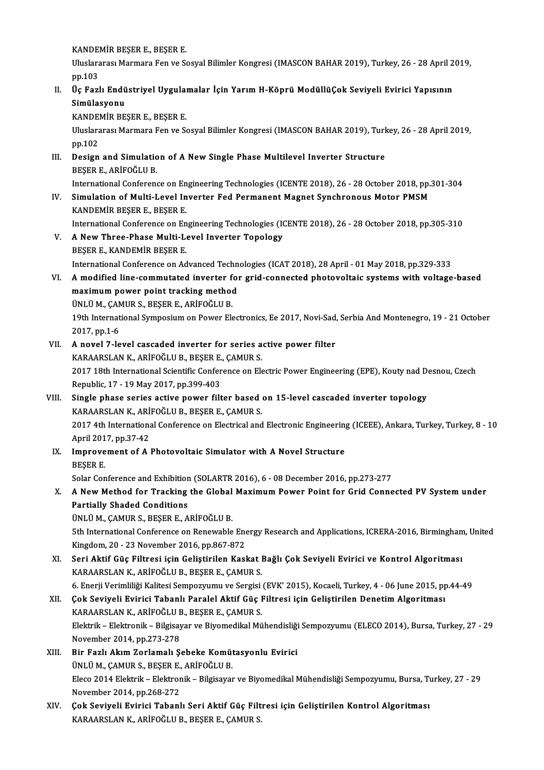KANDEMİR BEŞER E., BEŞER E.

KANDEMİR BEŞER E., BEŞER E.<br>Uluslararası Marmara Fen ve Sosyal Bilimler Kongresi (IMASCON BAHAR 2019), Turkey, 26 - 28 April 2019,<br>nn 103 KANDE<br>Uluslara<br>pp.103<br>Üs Esrl Uluslararası Marmara Fen ve Sosyal Bilimler Kongresi (IMASCON BAHAR 2019), Turkey, 26 - 28 April 2<br>pp.103<br>II. Üç Fazlı Endüstriyel Uygulamalar İçin Yarım H-Köprü ModüllüÇok Seviyeli Evirici Yapısının<br>Simülasyonu

# pp.103<br>Üç Fazlı Endü<br>Simülasyonu<br><sub>KANDEM</sub>ip pr Üç Fazlı Endüstriyel Uygulaı<br>Simülasyonu<br>KANDEMİR BEŞER E., BEŞER E.<br>Uluslararası Marmara Fan ve Se

Simülasyonu<br>KANDEMİR BEŞER E., BEŞER E.<br>Uluslararası Marmara Fen ve Sosyal Bilimler Kongresi (IMASCON BAHAR 2019), Turkey, 26 - 28 April 2019,<br>pp.102 KANDE<br>Uluslara<br>pp.102<br>Design Uluslararası Marmara Fen ve Sosyal Bilimler Kongresi (IMASCON BAHAR 2019), Turl<br>pp.102<br>III. Design and Simulation of A New Single Phase Multilevel Inverter Structure<br>PECED E ARIEOČULP

# pp.102<br>Design and Simulatio<br>BEŞER E., ARİFOĞLU B.<br>International Conferenc Design and Simulation of A New Single Phase Multilevel Inverter Structure<br>BEŞER E., ARİFOĞLU B.<br>International Conference on Engineering Technologies (ICENTE 2018), 26 - 28 October 2018, pp.301-304<br>Simulation of Multi Lovel

BEŞER E., ARİFOĞLU B.<br>International Conference on Engineering Technologies (ICENTE 2018), 26 - 28 October 2018, pp<br>IV. Simulation of Multi-Level Inverter Fed Permanent Magnet Synchronous Motor PMSM<br>KANDEMİR BESER E., BESER International Conference on En<br>Simulation of Multi-Level In<br>KANDEMİR BEŞER E., BEŞER E.<br>International Conference on En Simulation of Multi-Level Inverter Fed Permanent Magnet Synchronous Motor PMSM<br>KANDEMIR BEŞER E., BEŞER E.<br>International Conference on Engineering Technologies (ICENTE 2018), 26 - 28 October 2018, pp.305-310<br>A Now Three Bh

- V. A New Three-Phase Multi-Level Inverter Topology<br>BESER E., KANDEMIR BESER E. International Conference on En<br>**A New Three-Phase Multi-Le<br>BEŞER E., KANDEMİR BEŞER E.**<br>International Conference on Ad International Conference on Advanced Technologies (ICAT 2018), 28 April - 01 May 2018, pp.329-333 BEŞER E., KANDEMİR BEŞER E.<br>International Conference on Advanced Technologies (ICAT 2018), 28 April - 01 May 2018, pp.329-333<br>VI. A modified line-commutated inverter for grid-connected photovoltaic systems with voltage
- International Conference on Advanced Techn<br>A modified line-commutated inverter for<br>maximum power point tracking method<br>UNUU M. CAMUR S. RESER E. ARIEOČLU R A modified line-commutated inverter f<br>maximum power point tracking method<br>ÜNLÜ M., ÇAMUR S., BEŞER E., ARİFOĞLU B.<br>10th International Sumnesium en Bourer Ele 19th International Symposium on Power Electronics, Ee 2017, Novi-Sad, Serbia And Montenegro, 19 - 21 October<br>19th International Symposium on Power Electronics, Ee 2017, Novi-Sad, Serbia And Montenegro, 19 - 21 October<br>2017 ÜNLÜ M., ÇAMUR S., BEŞER E., ARİFOĞLU B.

19th International Symposium on Power Electronics, Ee 2017, Novi-Sad,<br>2017, pp.1-6<br>VII. A novel 7-level cascaded inverter for series active power filter<br> $VADAABSI AN V. ABIOCHIB BEEDB E. CAMIB S$ 

# 2017, pp.1-6<br>A novel 7-level cascaded inverter for series a<br>KARAARSLAN K., ARİFOĞLU B., BEŞER E., ÇAMUR S.<br>2017 19th International Scientific Conference en Ek 2017 18th International Scientific Conference on Electric Power Engineering (EPE), Kouty nad Desnou, Czech<br>Republic, 17 - 19 May 2017, pp.399-403 KARAARSLAN K., ARİFOĞLU B., BEŞER E., ÇAMUR S. 2017 18th International Scientific Conference on Electric Power Engineering (EPE), Kouty nad D<br>Republic, 17 - 19 May 2017, pp.399-403<br>VIII. Single phase series active power filter based on 15-level cascaded inverter topolo

# Republic, 17 - 19 May 2017, pp.399-403<br>Single phase series active power filter based<br>KARAARSLAN K., ARİFOĞLU B., BEŞER E., ÇAMUR S.<br>2017 4th International Conference en Flectrical and Single phase series active power filter based on 15-level cascaded inverter topology<br>KARAARSLAN K., ARİFOĞLU B., BEŞER E., ÇAMUR S.<br>2017 4th International Conference on Electrical and Electronic Engineering (ICEEE), Ankara KARAARSLAN K., ARI<br>2017 4th Internations<br>April 2017, pp.37-42<br>Imnrouoment of A

2017 4th International Conference on Electrical and Electronic Engineering<br>April 2017, pp.37-42<br>IX. Improvement of A Photovoltaic Simulator with A Novel Structure<br>PECEP F April 201<br>I<mark>mprove</mark><br>BEŞER E.<br>Selar Car Improvement of A Photovoltaic Simulator with A Novel Structure<br>BEŞER E.<br>Solar Conference and Exhibition (SOLARTR 2016), 6 - 08 December 2016, pp.273-277<br>A Now Mothod for Tracking the Global Mayimum Bower Boint for Grid Con

## BEŞER E.<br>Solar Conference and Exhibition (SOLARTR 2016), 6 - 08 December 2016, pp.273-277<br>X. A New Method for Tracking the Global Maximum Power Point for Grid Connected PV System under<br>Portially Shaded Conditions Solar Conference and Exhibition<br>A New Method for Tracking<br>Partially Shaded Conditions<br><sup>TINI II</sup> M. CAMUR S. RESER E.A. A New Method for Tracking the Global<br>Partially Shaded Conditions<br>ÜNLÜ M., ÇAMUR S., BEŞER E., ARİFOĞLU B.<br>Eth International Conference on Benevuable Partially Shaded Conditions<br>ÜNLÜ M., ÇAMUR S., BEŞER E., ARİFOĞLU B.<br>5th International Conference on Renewable Energy Research and Applications, ICRERA-2016, Birmingham, United

Kingdom,20 -23November 2016,pp.867-872 5th International Conference on Renewable Energy Research and Applications, ICRERA-2016, Birmingham<br>Kingdom, 20 - 23 November 2016, pp.867-872<br>XI. Seri Aktif Güç Filtresi için Geliştirilen Kaskat Bağlı Çok Seviyeli Evirici

Kingdom, 20 - 23 November 2016, pp.867-872<br>Seri Aktif Güç Filtresi için Geliştirilen Kaskat I<br>KARAARSLAN K., ARİFOĞLU B., BEŞER E., ÇAMUR S.<br>6. Enerii Verimliliği Kelitesi Semnegrumu ve Sergisi Seri Aktif Güç Filtresi için Geliştirilen Kaskat Bağlı Çok Seviyeli Evirici ve Kontrol Algoritması<br>KARAARSLAN K., ARİFOĞLU B., BEŞER E., ÇAMUR S.<br>6. Enerji Verimliliği Kalitesi Sempozyumu ve Sergisi (EVK' 2015), Kocaeli, T KARAARSLAN K., ARİFOĞLU B., BEŞER E., ÇAMUR S.<br>6. Enerji Verimliliği Kalitesi Sempozyumu ve Sergisi (EVK' 2015), Kocaeli, Turkey, 4 - 06 June 2015, pp<br>11. Çok Seviyeli Evirici Tabanlı Paralel Aktif Güç Filtresi için Ge

- 6. Enerji Verimliliği Kalitesi Sempozyumu ve Sergisi<br>Çok Seviyeli Evirici Tabanlı Paralel Aktif Güç I<br>KARAARSLAN K., ARİFOĞLU B., BEŞER E., ÇAMUR S.<br>Flaktrik. Flaktronik. Bilgisayar ve Biyomodikal Mü Elektrik – Elektronik – Bilgisayar ve Biyomedikal Mühendisliği Sempozyumu (ELECO 2014), Bursa, Turkey, 27 - 29<br>November 2014, pp.273-278 KARAARSLAN K., ARİFOĞLU B., BEŞER E., ÇAMUR S.
- XIII. Bir Fazlı Akım Zorlamalı Şebeke Komütasyonlu Evirici November 2014, pp.273-278<br>Bir Fazlı Akım Zorlamalı Şebeke Komüt<br>ÜNLÜ M., ÇAMUR S., BEŞER E., ARİFOĞLU B.<br>Flage 2014 Flaktnik - Flaktnanik - Bilgisayar Eleco 2014 Elektrik – Elektronik – Bilgisayar ve Biyomedikal Mühendisliği Sempozyumu, Bursa, Turkey, 27 - 29<br>November 2014, pp.268-272 ÜNLÜ M., ÇAMUR S., BEŞER E.,<br>Eleco 2014 Elektrik – Elektror<br>November 2014, pp.268-272<br>Cek Seviveli Evinisi Tebenl Eleco 2014 Elektrik – Elektronik – Bilgisayar ve Biyomedikal Mühendisliği Sempozyumu, Bursa, Ti<br>November 2014, pp.268-272<br>XIV. Cok Seviyeli Evirici Tabanlı Seri Aktif Güç Filtresi için Geliştirilen Kontrol Algoritması<br>XARA
- November 2014, pp.268-272<br>Çok Seviyeli Evirici Tabanlı Seri Aktif Güç Filt<br>KARAARSLAN K., ARİFOĞLU B., BEŞER E., ÇAMUR S.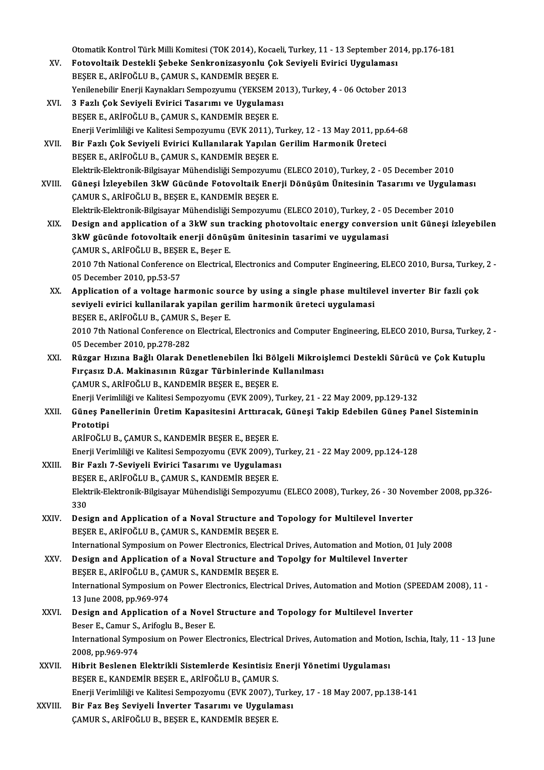Otomatik Kontrol Türk Milli Komitesi (TOK 2014), Kocaeli, Turkey, 11 - 13 September 2014, pp.176-181

- Otomatik Kontrol Türk Milli Komitesi (TOK 2014), Kocaeli, Turkey, 11 13 September 20<br>XV. Fotovoltaik Destekli Şebeke Senkronizasyonlu Çok Seviyeli Evirici Uygulaması<br>RESER E. ARİFOĞLU R. GAMUR S. KANDEMİR RESER E Otomatik Kontrol Türk Milli Komitesi (TOK 2014), Kocae<br>Fotovoltaik Destekli Şebeke Senkronizasyonlu Çol<br>BEŞER E., ARİFOĞLU B., ÇAMUR S., KANDEMİR BEŞER E.<br>Yonilanebilir Enerii Keynekler: Semnetturmu (YEKSEM 2 Fotovoltaik Destekli Şebeke Senkronizasyonlu Çok Seviyeli Evirici Uygulaması<br>BEŞER E., ARİFOĞLU B., ÇAMUR S., KANDEMİR BEŞER E.<br>Yenilenebilir Enerji Kaynakları Sempozyumu (YEKSEM 2013), Turkey, 4 - 06 October 2013<br>2 Farlı BEŞER E., ARİFOĞLU B., ÇAMUR S., KANDEMİR BEŞER E.<br>Yenilenebilir Enerji Kaynakları Sempozyumu (YEKSEM 2013), Turkey, 4 - 06 October 2013<br>XVI. 3 Fazlı Çok Seviyeli Evirici Tasarımı ve Uygulaması
- BEŞER E., ARİFOĞLU B., ÇAMUR S., KANDEMİR BEŞER E. 3 Fazlı Çok Seviyeli Evirici Tasarımı ve Uygulaması<br>BEŞER E., ARİFOĞLU B., ÇAMUR S., KANDEMİR BEŞER E.<br>Enerji Verimliliği ve Kalitesi Sempozyumu (EVK 2011), Turkey, 12 - 13 May 2011, pp.64-68<br>Bir Fazlı Çok Seviyeli Evirici BEŞER E., ARİFOĞLU B., ÇAMUR S., KANDEMİR BEŞER E.<br>Enerji Verimliliği ve Kalitesi Sempozyumu (EVK 2011), Turkey, 12 - 13 May 2011, pp.<br>XVII. Bir Fazlı Çok Seviyeli Evirici Kullanılarak Yapılan Gerilim Harmonik Üreteci<br>PESE
- Enerji Verimliliği ve Kalitesi Sempozyumu (EVK 2011), T<br>Bir Fazlı Çok Seviyeli Evirici Kullanılarak Yapılan<br>BEŞER E., ARİFOĞLU B., ÇAMUR S., KANDEMİR BEŞER E.<br>Flaktrik Flaktronik Bilgisayar Mühandisliği Semporunum Bir Fazlı Çok Seviyeli Evirici Kullanılarak Yapılan Gerilim Harmonik Üreteci<br>BEŞER E., ARİFOĞLU B., ÇAMUR S., KANDEMİR BEŞER E.<br>Elektrik-Elektronik-Bilgisayar Mühendisliği Sempozyumu (ELECO 2010), Turkey, 2 - 05 December 2 BEŞER E., ARİFOĞLU B., ÇAMUR S., KANDEMİR BEŞER E.<br>Elektrik-Elektronik-Bilgisayar Mühendisliği Sempozyumu (ELECO 2010), Turkey, 2 - 05 December 2010<br>CAMIR S. ARİFOĞLU R. RESER E. KANDEMİR RESER E.

Elektrik-Elektronik-Bilgisayar Mühendisliği Sempozyumu<br>Güneşi İzleyebilen 3kW Gücünde Fotovoltaik Ener<br>ÇAMUR S., ARİFOĞLU B., BEŞER E., KANDEMİR BEŞER E.<br>Flaktrik Flaktronik Bilgisayar Mühandisliği Sempozyumu Güneşi İzleyebilen 3kW Gücünde Fotovoltaik Enerji Dönüşüm Ünitesinin Tasarımı ve Uygulaması<br>ÇAMUR S., ARİFOĞLU B., BEŞER E., KANDEMİR BEŞER E.<br>Elektrik-Elektronik-Bilgisayar Mühendisliği Sempozyumu (ELECO 2010), Turkey, 2 CAMUR S., ARİFOĞLU B., BEŞER E., KANDEMİR BEŞER E.<br>Elektrik-Elektronik-Bilgisayar Mühendisliği Sempozyumu (ELECO 2010), Turkey, 2 - 05 December 2010<br>XIX. Design and application of a 3kW sun tracking photovoltaic energy con

- Elektrik-Elektronik-Bilgisayar Mühendisliği Sempozyumu (ELECO 2010), Turkey, 2 05<br>Design and application of a 3kW sun tracking photovoltaic energy conversionistes<br>3kW gücünde fotovoltaik enerji dönüşüm ünitesinin tasarim Design and application of a 3kW sun t<br>3kW gücünde fotovoltaik enerji dönüş<br>ÇAMUR S., ARİFOĞLU B., BEŞER E., Beşer E.<br>2010 7th National Conference on Flectrical 3kW gücünde fotovoltaik enerji dönüşüm ünitesinin tasarimi ve uygulamasi<br>ÇAMUR S., ARİFOĞLU B., BEŞER E., Beşer E.<br>2010 7th National Conference on Electrical, Electronics and Computer Engineering, ELECO 2010, Bursa, Turkey CAMUR S., ARİFOĞLU B., BEŞER E., Beşer E.
- 2010 7th National Conference on Electrical, Electronics and Computer Engineering, ELECO 2010, Bursa, Turkey<br>05 December 2010, pp.53-57<br>XX. Application of a voltage harmonic source by using a single phase multilevel inverte 05 December 2010, pp.53-57<br>Application of a voltage harmonic source by using a single phase multile<br>seviyeli evirici kullanilarak yapilan gerilim harmonik üreteci uygulamasi<br>RESER E. ARİFOČLU R. CAMUR S. Beser E Application of a voltage harmonic sou<br>seviyeli evirici kullanilarak yapilan gen<br>BEŞER E., ARİFOĞLU B., ÇAMUR S., Beşer E.<br>2010 7th National Conference en Flectrical seviyeli evirici kullanilarak yapilan gerilim harmonik üreteci uygulamasi<br>BEŞER E., ARİFOĞLU B., ÇAMUR S., Beşer E.<br>2010 7th National Conference on Electrical, Electronics and Computer Engineering, ELECO 2010, Bursa, Turke BEŞER E., ARİFOĞLU B., CAMUR S., Beşer E. 2010 7th National Conference on Electrical, Electronics and Computer Engineering, ELECO 2010, Bursa, Turkey, 2<br>05 December 2010, pp.278-282<br>XXI. Rüzgar Hızına Bağlı Olarak Denetlenebilen İki Bölgeli Mikroişlemci Destekli S
- 05 December 2010, pp.278-282<br>Rüzgar Hızına Bağlı Olarak Denetlenebilen İki Bölgeli Mikroi<br>Fırçasız D.A. Makinasının Rüzgar Türbinlerinde Kullanılması<br>CAMUR S. ARİFOČLU R. KANDEMİR RESER E. RESER F Rüzgar Hızına Bağlı Olarak Denetlenebilen İki Böl<br>Fırçasız D.A. Makinasının Rüzgar Türbinlerinde K<br>ÇAMUR S., ARİFOĞLU B., KANDEMİR BEŞER E., BEŞER E.<br>Fnarii Verimliliği ve Kalitesi Semnezyemu (EVK 2009) T Fırçasız D.A. Makinasının Rüzgar Türbinlerinde Kullanılması<br>ÇAMUR S., ARİFOĞLU B., KANDEMİR BEŞER E., BEŞER E.<br>Enerji Verimliliği ve Kalitesi Sempozyomu (EVK 2009), Turkey, 21 - 22 May 2009, pp.129-132<br>Cünes Banellerinin Ü

# CAMUR S., ARİFOĞLU B., KANDEMİR BEŞER E., BEŞER E.<br>Enerji Verimliliği ve Kalitesi Sempozyomu (EVK 2009), Turkey, 21 - 22 May 2009, pp.129-132<br>XXII. Güneş Panellerinin Üretim Kapasitesini Arttıracak, Güneşi Takip Edebilen G Enerji Veri<br><mark>Güneş Pa</mark><br>Prototipi<br>ARİFOČLU

ARİFOĞLU B., ÇAMUR S., KANDEMİR BEŞER E., BEŞER E.

EnerjiVerimliliğiveKalitesiSempozyomu (EVK2009),Turkey,21 -22May2009,pp.124-128

ARİFOĞLU B., ÇAMUR S., KANDEMİR BEŞER E., BEŞER E.<br>Enerji Verimliliği ve Kalitesi Sempozyomu (EVK 2009), Turkili.<br>XXIII. Bir Fazlı 7-Seviyeli Evirici Tasarımı ve Uygulaması<br>PESER E. ARİFOĞLU B. CAMUR S. KANDEMİR BESER E Enerji Verimliliği ve Kalitesi Sempozyomu (EVK 2009), T<br>Bir Fazlı 7-Seviyeli Evirici Tasarımı ve Uygulamas<br>BEŞER E., ARİFOĞLU B., ÇAMUR S., KANDEMİR BEŞER E.<br>Flaktyik Flaktnovik Bilgisayar Mühandisliği Semporuyu

Bir Fazlı 7-Seviyeli Evirici Tasarımı ve Uygulaması<br>BEŞER E., ARİFOĞLU B., ÇAMUR S., KANDEMİR BEŞER E.<br>Elektrik-Elektronik-Bilgisayar Mühendisliği Sempozyumu (ELECO 2008), Turkey, 26 - 30 November 2008, pp.326-<br>220 BEŞE<br>Elekt<br>330<br>Desi Elektrik-Elektronik-Bilgisayar Mühendisliği Sempozyumu (ELECO 2008), Turkey, 26 - 30 Nov<br>330<br>XXIV. Design and Application of a Noval Structure and Topology for Multilevel Inverter

330<br>Design and Application of a Noval Structure and Topology for Multilevel Inverter<br>BEŞER E., ARİFOĞLU B., ÇAMUR S., KANDEMİR BEŞER E. Design and Application of a Noval Structure and Topology for Multilevel Inverter<br>BEŞER E., ARİFOĞLU B., ÇAMUR S., KANDEMİR BEŞER E.<br>International Symposium on Power Electronics, Electrical Drives, Automation and Motion, 01

BEŞER E., ARİFOĞLU B., ÇAMUR S., KANDEMİR BEŞER E.<br>International Symposium on Power Electronics, Electrical Drives, Automation and Motion, 0<br>XXV. Design and Application of a Noval Structure and Topolgy for Multilevel Inver International Symposium on Power Electronics, Electrica<br>Design and Application of a Noval Structure and "<br>BEŞER E., ARİFOĞLU B., ÇAMUR S., KANDEMİR BEŞER E.<br>International Symposium on Power Electronics, Electrics Design and Application of a Noval Structure and Topolgy for Multilevel Inverter<br>BEŞER E., ARİFOĞLU B., ÇAMUR S., KANDEMİR BEŞER E.<br>International Symposium on Power Electronics, Electrical Drives, Automation and Motion (SPE BEŞER E., ARİFOĞLU B., ÇA<br>International Symposium o<br>13 June 2008, pp.969-974<br>Design and Annlisation International Symposium on Power Electronics, Electrical Drives, Automation and Motion (SF<br>13 June 2008, pp.969-974<br>XXVI. Design and Application of a Novel Structure and Topology for Multilevel Inverter<br>Reser E. Camur S. A

## 13 June 2008, pp.969-974<br>Design and Application of a Novel<br>Beser E., Camur S., Arifoglu B., Beser E.<br>International Sumnesium on Bouer Ele International Symposium on Power Electronics, Electrical Drives, Automation and Motion, Ischia, Italy, 11 - 13 June<br>2008, pp.969-974 Beser E., Camur S., Arifoglu B., Beser E.

- XXVII. Hibrit Beslenen Elektrikli Sistemlerde Kesintisiz Enerji Yönetimi Uygulaması BEŞER E., KANDEMİR BEŞER E., ARİFOĞLU B., ÇAMUR S. Hibrit Beslenen Elektrikli Sistemlerde Kesintisiz Enerji Yönetimi Uygulaması<br>BEŞER E., KANDEMİR BEŞER E., ARİFOĞLU B., ÇAMUR S.<br>Enerji Verimliliği ve Kalitesi Sempozyomu (EVK 2007), Turkey, 17 - 18 May 2007, pp.138-141<br>Bir
- XXVIII. Bir Faz Beş Seviyeli İnverter Tasarımı ve Uygulaması<br>CAMUR S., ARİFOĞLU B., BEŞER E., KANDEMİR BEŞER E. Enerji Verimliliği ve Kalitesi Sempozyomu (EVK 2007), 1<br>Bir Faz Beş Seviyeli İnverter Tasarımı ve Uygulan<br>ÇAMUR S., ARİFOĞLU B., BEŞER E., KANDEMİR BEŞER E.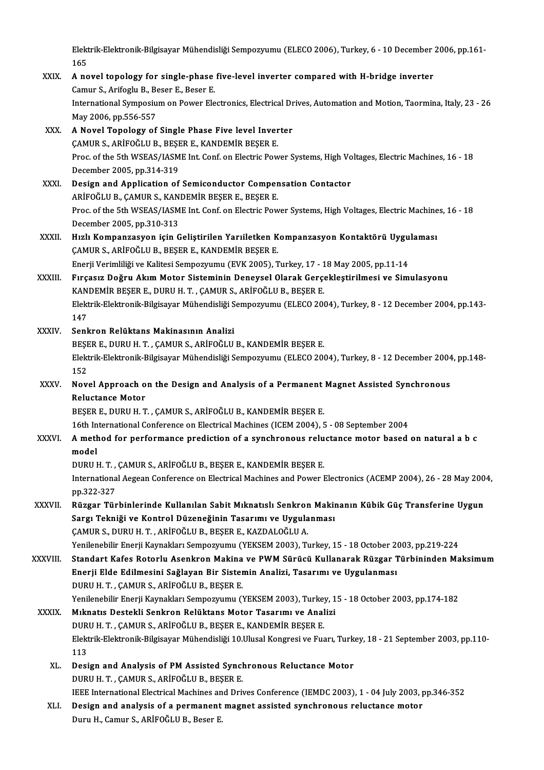Elektrik-Elektronik-Bilgisayar Mühendisliği Sempozyumu (ELECO 2006), Turkey, 6 - 10 December 2006, pp.161-<br>165 Elekt<br>165<br>A.no Elektrik-Elektronik-Bilgisayar Mühendisliği Sempozyumu (ELECO 2006), Turkey, 6 - 10 December<br>165<br>XXIX. A novel topology for single-phase five-level inverter compared with H-bridge inverter<br>Comun S. Anifogly B. Boson E. Bos

# 165<br>A novel topology for single-phase<br>Camur S., Arifoglu B., Beser E., Beser E.<br>International Sumnesium on Boucar Ele A novel topology for single-phase five-level inverter compared with H-bridge inverter<br>Camur S., Arifoglu B., Beser E., Beser E.<br>International Symposium on Power Electronics, Electrical Drives, Automation and Motion, Taormi Camur S., Arifoglu B., Be<br>International Symposiu<br>May 2006, pp.556-557<br>A Novel Tenelogy of International Symposium on Power Electronics, Electrical Dr<br>May 2006, pp.556-557<br>XXX. A Novel Topology of Single Phase Five level Inverter<br>CAMIIB S, ARIFOČI II R, RESER E, KANDEMIR RESER E

# May 2006, pp.556-557<br>A Novel Topology of Single Phase Five level Inver<br>ÇAMUR S., ARİFOĞLU B., BEŞER E., KANDEMİR BEŞER E.<br>Pres of the 5th WSEAS (JASME Int Conf en Electric Pou A Novel Topology of Single Phase Five level Inverter<br>ÇAMUR S., ARİFOĞLU B., BEŞER E., KANDEMİR BEŞER E.<br>Proc. of the 5th WSEAS/IASME Int. Conf. on Electric Power Systems, High Voltages, Electric Machines, 16 - 18<br>Desember CAMUR S., ARİFOĞLU B., BEŞE<br>Proc. of the 5th WSEAS/IASM<br>December 2005, pp.314-319<br>Design and Annlisation of Proc. of the 5th WSEAS/IASME Int. Conf. on Electric Power Systems, High Vo<br>December 2005, pp.314-319<br>XXXI. Design and Application of Semiconductor Compensation Contactor

# December 2005, pp.314-319<br>Design and Application of Semiconductor Comper<br>ARİFOĞLU B., ÇAMUR S., KANDEMİR BEŞER E., BEŞER E.<br>Pres of the 5th WSEAS (JASME Int Conf. on Electric Boy ARİFOĞLU B., ÇAMUR S., KANDEMİR BEŞER E., BEŞER E.<br>Proc. of the 5th WSEAS/IASME Int. Conf. on Electric Power Systems, High Voltages, Electric Machines, 16 - 18 December 2005,pp.310-313 Proc. of the 5th WSEAS/IASME Int. Conf. on Electric Power Systems, High Voltages, Electric Machine<br>December 2005, pp.310-313<br>XXXII. Hızlı Kompanzasyon için Geliştirilen Yarıiletken Kompanzasyon Kontaktörü Uygulaması<br>CA

ÇAMUR S., ARİFOĞLU B., BEŞER E., KANDEMİR BEŞER E.<br>Enerji Verimliliği ve Kalitesi Sempozyumu (EVK 2005), Turkey, 17 - 18 May 2005, pp.11-14 Hızlı Kompanzasyon için Geliştirilen Yarıiletken Kompanzasyon Kontaktörü Uygu<br>ÇAMUR S., ARİFOĞLU B., BEŞER E., KANDEMİR BEŞER E.<br>Enerji Verimliliği ve Kalitesi Sempozyumu (EVK 2005), Turkey, 17 - 18 May 2005, pp.11-14<br>Euse

XXXIII. Fırçasız Doğru Akım Motor Sisteminin Deneysel Olarak Gerçekleştirilmesi ve Simulasyonu Enerji Verimliliği ve Kalitesi Sempozyumu (EVK 2005), Turkey, 17 - 1<br>Fırçasız Doğru Akım Motor Sisteminin Deneysel Olarak Gerçe<br>KANDEMİR BEŞER E., DURU H. T. , ÇAMUR S., ARİFOĞLU B., BEŞER E.<br>Flaktyik Flaktnanik Bilgisayan Fırçasız Doğru Akım Motor Sisteminin Deneysel Olarak Gerçekleştirilmesi ve Simulasyonu<br>KANDEMİR BEŞER E., DURU H. T. , ÇAMUR S., ARİFOĞLU B., BEŞER E.<br>Elektrik-Elektronik-Bilgisayar Mühendisliği Sempozyumu (ELECO 2004), Tu KAN<br>Elekt<br>147<br>Senk Elektrik-Elektronik-Bilgisayar Mühendisliği S<br>147<br>XXXIV. Senkron Relüktans Makinasının Analizi<br>PECEPE DIIBU H.T. CAMIR S. ARİEQĞUL

- 147<br>Senkron Relüktans Makinasının Analizi<br>BEŞER E., DURU H. T. , ÇAMUR S., ARİFOĞLU B., KANDEMİR BEŞER E.<br>Flaktrik Flaktronik Bilgisayar Mühandisliği Sampagyumu (ELECO 200 Senkron Relüktans Makinasının Analizi<br>BEŞER E., DURU H. T. , ÇAMUR S., ARİFOĞLU B., KANDEMİR BEŞER E.<br>Elektrik-Elektronik-Bilgisayar Mühendisliği Sempozyumu (ELECO 2004), Turkey, 8 - 12 December 2004, pp.148-<br>152 BEŞE<br>Elekt<br>152<br>Nev Elektrik-Elektronik-Bilgisayar Mühendisliği Sempozyumu (ELECO 2004), Turkey, 8 - 12 December 2004<br>152<br>XXXV. Novel Approach on the Design and Analysis of a Permanent Magnet Assisted Synchronous<br>Pelustanee Mater
- 152<br>Novel Approach o<br>Reluctance Motor<br>PESED E DUPU H T Novel Approach on the Design and Analysis of a Permanent<br>Reluctance Motor<br>BEŞER E., DURU H. T. , ÇAMUR S., ARİFOĞLU B., KANDEMİR BEŞER E.<br>16th International Conference en Electrical Machines (ICEM 2004). Reluctance Motor<br>BEŞER E., DURU H. T. , ÇAMUR S., ARİFOĞLU B., KANDEMİR BEŞER E.<br>16th International Conference on Electrical Machines (ICEM 2004), 5 - 08 September 2004<br>A method for performance prodiction of a synehronous

# BEŞER E., DURU H. T. , ÇAMUR S., ARİFOĞLU B., KANDEMİR BEŞER E.<br>16th International Conference on Electrical Machines (ICEM 2004), 5 - 08 September 2004<br>XXXVI. A method for performance prediction of a synchronous reluct 16th In<br>**A meth**<br>model<br>DUPU P A method for performance prediction of a synchronous relu<br>model<br>DURU H. T. , ÇAMUR S., ARİFOĞLU B., BEŞER E., KANDEMİR BEŞER E.<br>International Acceen Conference en Electrical Mechines and Rewer I

International Aegean Conference on Electrical Machines and Power Electronics (ACEMP 2004), 26 - 28 May 2004, pp.322-327 DURU H. T. ,<br>Internationa<br>pp.322-327<br>Bürger Tür International Aegean Conference on Electrical Machines and Power Electronics (ACEMP 2004), 26 - 28 May 200<br>pp.322-327<br>XXXVII. Rüzgar Türbinlerinde Kullanılan Sabit Mıknatıslı Senkron Makinanın Kübik Güç Transferine Uygun<br>S

# pp.322-327<br>Rüzgar Türbinlerinde Kullanılan Sabit Mıknatıslı Senkron Makiı<br>Sargı Tekniği ve Kontrol Düzeneğinin Tasarımı ve Uygulanması<br>CAMUR S. DURU H.T. ARİFOĞLU R. RESER E. KAZDALOĞLU A Rüzgar Türbinlerinde Kullanılan Sabit Mıknatıslı Senkror<br>Sargı Tekniği ve Kontrol Düzeneğinin Tasarımı ve Uygula<br>ÇAMUR S., DURU H. T. , ARİFOĞLU B., BEŞER E., KAZDALOĞLU A.<br>Yanilanebilir Enerii Kaymakları Semnegyumu (YEKSE Sargı Tekniği ve Kontrol Düzeneğinin Tasarımı ve Uygulanması<br>ÇAMUR S., DURU H. T. , ARİFOĞLU B., BEŞER E., KAZDALOĞLU A.<br>Yenilenebilir Enerji Kaynakları Sempozyumu (YEKSEM 2003), Turkey, 15 - 18 October 2003, pp.219-224

CAMUR S., DURU H. T. , ARİFOĞLU B., BEŞER E., KAZDALOĞLU A.<br>Yenilenebilir Enerji Kaynakları Sempozyumu (YEKSEM 2003), Turkey, 15 - 18 October 2003, pp.219-224<br>XXXVIII. Standart Kafes Rotorlu Asenkron Makina ve PWM Sürücü K Yenilenebilir Enerji Kaynakları Sempozyumu (YEKSEM 2003), Turkey, 15 - 18 October 2<br>Standart Kafes Rotorlu Asenkron Makina ve PWM Sürücü Kullanarak Rüzgar 1<br>Enerji Elde Edilmesini Sağlayan Bir Sistemin Analizi, Tasarımı ve Standart Kafes Rotorlu Asenkron Makina<br>Enerji Elde Edilmesini Sağlayan Bir Sister<br>DURU H.T., ÇAMUR S., ARİFOĞLU B., BEŞER E.<br>Yanilanabilir Enerji Kaymakları Samnazyumu (İ Enerji Elde Edilmesini Sağlayan Bir Sistemin Analizi, Tasarımı ve Uygulanması<br>DURU H. T. , ÇAMUR S., ARİFOĞLU B., BEŞER E.<br>Yenilenebilir Enerji Kaynakları Sempozyumu (YEKSEM 2003), Turkey, 15 - 18 October 2003, pp.174-182<br> DURU H. T. , ÇAMUR S., ARİFOĞLU B., BEŞER E.<br>Yenilenebilir Enerji Kaynakları Sempozyumu (YEKSEM 2003), Turkey, 1<br>XXXIX. Mıknatıs Destekli Senkron Relüktans Motor Tasarımı ve Analizi

# Yenilenebilir Enerji Kaynakları Sempozyumu (YEKSEM 2003), Turkey<br>Mıknatıs Destekli Senkron Relüktans Motor Tasarımı ve Anal<br>DURU H. T. , ÇAMUR S., ARİFOĞLU B., BEŞER E., KANDEMİR BEŞER E.<br>Flaktrik Flaktronik Bilgisayar Müh Elektrik-Elektronik-Bilgisayar Mühendisliği 10.Ulusal Kongresi ve Fuarı, Turkey, 18 - 21 September 2003, pp.110-<br>113 DURU H. T., CAMUR S., ARİFOĞLU B., BEŞER E., KANDEMİR BEŞER E. Elektrik-Elektronik-Bilgisayar Mühendisliği 10.Ulusal Kongresi ve Fuarı, Turk<br>113<br>XL. Design and Analysis of PM Assisted Synchronous Reluctance Motor<br>DUBU H.T. CAMUR S. ARİFOČLU R. RESER F

- 113<br>Design and Analysis of PM Assisted Syncl<br>DURU H.T., ÇAMUR S., ARİFOĞLU B., BEŞER E.<br>IEEE International Electrical Machines and Drit DURU H. T. , ÇAMUR S., ARİFOĞLU B., BEŞER E.<br>IEEE International Electrical Machines and Drives Conference (IEMDC 2003), 1 - 04 July 2003, pp.346-352
- DURU H. T. , CAMUR S., ARIFOĞLU B., BEŞER E.<br>IEEE International Electrical Machines and Drives Conference (IEMDC 2003), 1 04 July 2003, p<br>XLI. Design and analysis of a permanent magnet assisted synchronous reluctance mot IEEE International Electrical Machines an<br><mark>Design and analysis of a permanent</mark><br>Duru H., Camur S., ARİFOĞLU B., Beser E.